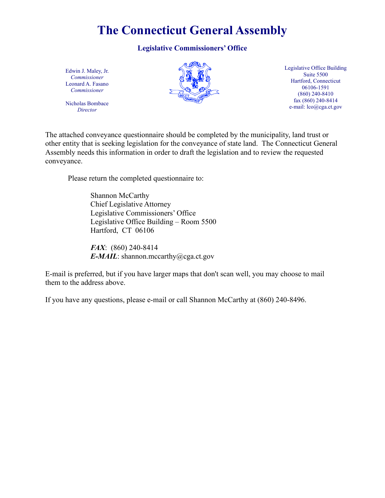# **The Connecticut General Assembly**

## **Legislative Commissioners' Office**

Edwin J. Maley, Jr. *Commissioner* Leonard A. Fasano *Commissioner*

Nicholas Bombace *Director*



Legislative Office Building Suite 5500 Hartford, Connecticut 06106-1591 (860) 240-8410 fax (860) 240-8414 e-mail: lco@cga.ct.gov

The attached conveyance questionnaire should be completed by the municipality, land trust or other entity that is seeking legislation for the conveyance of state land. The Connecticut General Assembly needs this information in order to draft the legislation and to review the requested conveyance.

Please return the completed questionnaire to:

Shannon McCarthy Chief Legislative Attorney Legislative Commissioners' Office Legislative Office Building – Room 5500 Hartford, CT 06106

*FAX*: (860) 240-8414 *E-MAIL*: shannon.mccarthy@cga.ct.gov

E-mail is preferred, but if you have larger maps that don't scan well, you may choose to mail them to the address above.

If you have any questions, please e-mail or call Shannon McCarthy at (860) 240-8496.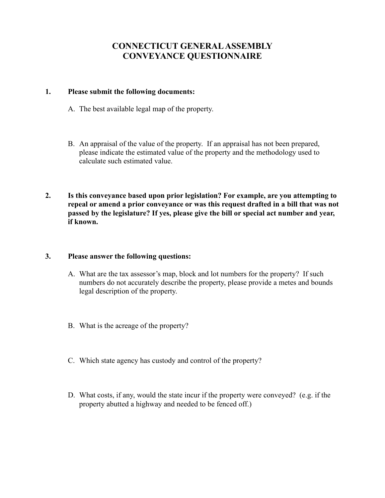## **CONNECTICUT GENERAL ASSEMBLY CONVEYANCE QUESTIONNAIRE**

### **1. Please submit the following documents:**

- A. The best available legal map of the property.
- B. An appraisal of the value of the property. If an appraisal has not been prepared, please indicate the estimated value of the property and the methodology used to calculate such estimated value.
- **2. Is this conveyance based upon prior legislation? For example, are you attempting to repeal or amend a prior conveyance or was this request drafted in a bill that was not passed by the legislature? If yes, please give the bill or special act number and year, if known.**

#### **3. Please answer the following questions:**

- A. What are the tax assessor's map, block and lot numbers for the property? If such numbers do not accurately describe the property, please provide a metes and bounds legal description of the property.
- B. What is the acreage of the property?
- C. Which state agency has custody and control of the property?
- D. What costs, if any, would the state incur if the property were conveyed? (e.g. if the property abutted a highway and needed to be fenced off.)